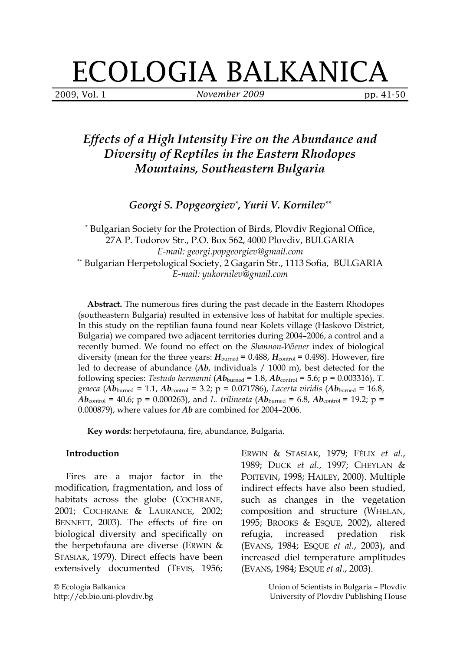# ECOLOGIA BALKANICA

2009, Vol. 1 **November 2009** pp. 41-50

# Effects of a High Intensity Fire on the Abundance and Diversity of Reptiles in the Eastern Rhodopes Mountains, Southeastern Bulgaria

Georgi S. Popgeorgiev\* , Yurii V. Kornilev\*\*

\* Bulgarian Society for the Protection of Birds, Plovdiv Regional Office, 27A P. Todorov Str., P.O. Box 562, 4000 Plovdiv, BULGARIA E-mail: georgi.popgeorgiev@gmail.com \*\* Bulgarian Herpetological Society, 2 Gagarin Str., 1113 Sofia, BULGARIA E-mail: yukornilev@gmail.com

Abstract. The numerous fires during the past decade in the Eastern Rhodopes (southeastern Bulgaria) resulted in extensive loss of habitat for multiple species. In this study on the reptilian fauna found near Kolets village (Haskovo District, Bulgaria) we compared two adjacent territories during 2004–2006, a control and a recently burned. We found no effect on the *Shannon-Wiener* index of biological diversity (mean for the three years:  $H_{\text{burned}} = 0.488$ ,  $H_{\text{control}} = 0.498$ ). However, fire led to decrease of abundance  $(Ab, \text{ individuals } / 1000 \text{ m})$ , best detected for the following species: Testudo hermanni ( $Ab<sub>burned</sub> = 1.8$ ,  $Ab<sub>control</sub> = 5.6$ ; p = 0.003316), T. graeca (Ab<sub>burned</sub> = 1.1, Ab<sub>control</sub> = 3.2; p = 0.071786), Lacerta viridis (Ab<sub>burned</sub> = 16.8,  $Ab_{\text{control}} = 40.6$ ; p = 0.000263), and L. trilineata ( $Ab_{\text{burned}} = 6.8$ ,  $Ab_{\text{control}} = 19.2$ ; p = 0.000879), where values for Ab are combined for 2004–2006.

Key words: herpetofauna, fire, abundance, Bulgaria.

#### Introduction

 Fires are a major factor in the modification, fragmentation, and loss of habitats across the globe (COCHRANE, 2001; COCHRANE & LAURANCE, 2002; BENNETT, 2003). The effects of fire on biological diversity and specifically on the herpetofauna are diverse (ERWIN & STASIAK, 1979). Direct effects have been extensively documented (TEVIS, 1956; ERWIN & STASIAK, 1979; FÉLIX et al., 1989; DUCK et al., 1997; CHEYLAN & POITEVIN, 1998; HAILEY, 2000). Multiple indirect effects have also been studied, such as changes in the vegetation composition and structure (WHELAN, 1995; BROOKS & ESQUE, 2002), altered refugia, increased predation risk (EVANS, 1984; ESQUE et al., 2003), and increased diel temperature amplitudes (EVANS, 1984; ESQUE et al., 2003).

> Union of Scientists in Bulgaria – Plovdiv University of Plovdiv Publishing House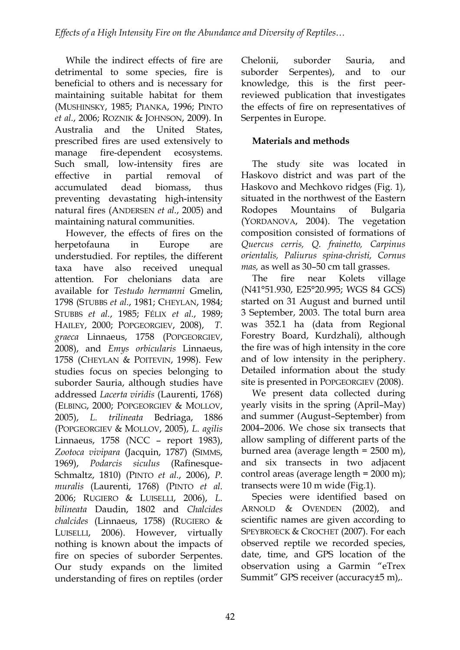While the indirect effects of fire are detrimental to some species, fire is beneficial to others and is necessary for maintaining suitable habitat for them (MUSHINSKY, 1985; PIANKA, 1996; PINTO et al., 2006; ROZNIK & JOHNSON, 2009). In Australia and the United States, prescribed fires are used extensively to manage fire-dependent ecosystems. Such small, low-intensity fires are effective in partial removal of accumulated dead biomass, thus preventing devastating high-intensity natural fires (ANDERSEN et al., 2005) and maintaining natural communities.

 However, the effects of fires on the herpetofauna in Europe are understudied. For reptiles, the different taxa have also received unequal attention. For chelonians data are available for Testudo hermanni Gmelin, 1798 (STUBBS et al., 1981; CHEYLAN, 1984; STUBBS et al., 1985; FÉLIX et al., 1989; HAILEY, 2000; POPGEORGIEV, 2008), T. graeca Linnaeus, 1758 (POPGEORGIEV, 2008), and Emys orbicularis Linnaeus, 1758 (CHEYLAN & POITEVIN, 1998). Few studies focus on species belonging to suborder Sauria, although studies have addressed Lacerta viridis (Laurenti, 1768) (ELBING, 2000; POPGEORGIEV & MOLLOV, 2005), L. trilineata Bedriaga, 1886 (POPGEORGIEV & MOLLOV, 2005), L. agilis Linnaeus, 1758 (NCC – report 1983), Zootoca vivipara (Jacquin, 1787) (SIMMS, 1969), Podarcis siculus (Rafinesque-Schmaltz, 1810) (PINTO et al., 2006), P. muralis (Laurenti, 1768) (PINTO et al. 2006; RUGIERO & LUISELLI, 2006), L. bilineata Daudin, 1802 and Chalcides chalcides (Linnaeus, 1758) (RUGIERO & LUISELLI, 2006). However, virtually nothing is known about the impacts of fire on species of suborder Serpentes. Our study expands on the limited understanding of fires on reptiles (order Chelonii, suborder Sauria, and suborder Serpentes), and to our knowledge, this is the first peerreviewed publication that investigates the effects of fire on representatives of Serpentes in Europe.

## Materials and methods

 The study site was located in Haskovo district and was part of the Haskovo and Mechkovo ridges (Fig. 1), situated in the northwest of the Eastern Rodopes Mountains of Bulgaria (YORDANOVA, 2004). The vegetation composition consisted of formations of Quercus cerris, Q. frainetto, Carpinus orientalis, Paliurus spina-christi, Cornus mas, as well as 30–50 cm tall grasses.

 The fire near Kolets village (N41°51.930, E25°20.995; WGS 84 GCS) started on 31 August and burned until 3 September, 2003. The total burn area was 352.1 ha (data from Regional Forestry Board, Kurdzhali), although the fire was of high intensity in the core and of low intensity in the periphery. Detailed information about the study site is presented in POPGEORGIEV (2008).

 We present data collected during yearly visits in the spring (April–May) and summer (August–September) from 2004–2006. We chose six transects that allow sampling of different parts of the burned area (average length = 2500 m), and six transects in two adjacent control areas (average length = 2000 m); transects were 10 m wide (Fig.1).

 Species were identified based on ARNOLD & OVENDEN (2002), and scientific names are given according to SPEYBROECK & CROCHET (2007). For each observed reptile we recorded species, date, time, and GPS location of the observation using a Garmin "eTrex Summit" GPS receiver (accuracy±5 m),.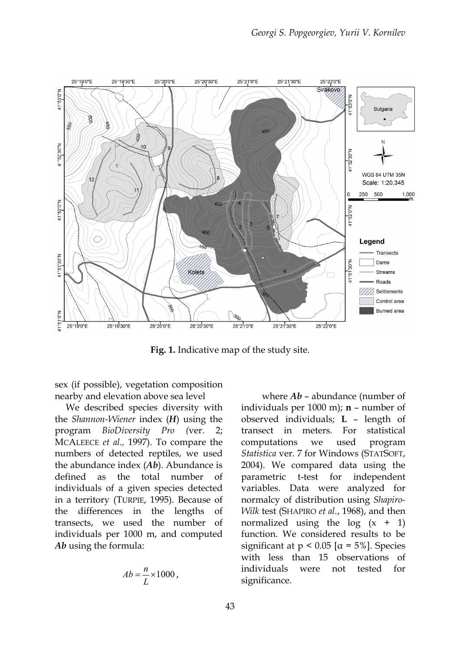

Fig. 1. Indicative map of the study site.

sex (if possible), vegetation composition nearby and elevation above sea level

 We described species diversity with the Shannon-Wiener index (H) using the program BioDiversity Pro (ver. 2; MCALEECE et al., 1997). To compare the numbers of detected reptiles, we used the abundance index  $(Ab)$ . Abundance is defined as the total number of individuals of a given species detected in a territory (TURPIE, 1995). Because of the differences in the lengths of transects, we used the number of individuals per 1000 m, and computed Ab using the formula:

$$
Ab = \frac{n}{L} \times 1000,
$$

where  $Ab$  – abundance (number of individuals per 1000 m);  $\mathbf{n}$  – number of observed individuals; L – length of transect in meters. For statistical computations we used program Statistica ver. 7 for Windows (STATSOFT, 2004). We compared data using the parametric t-test for independent variables. Data were analyzed for normalcy of distribution using Shapiro-Wilk test (SHAPIRO et al., 1968), and then normalized using the  $log(x + 1)$ function. We considered results to be significant at  $p < 0.05$  [ $\alpha = 5\%$ ]. Species with less than 15 observations of individuals were not tested for significance.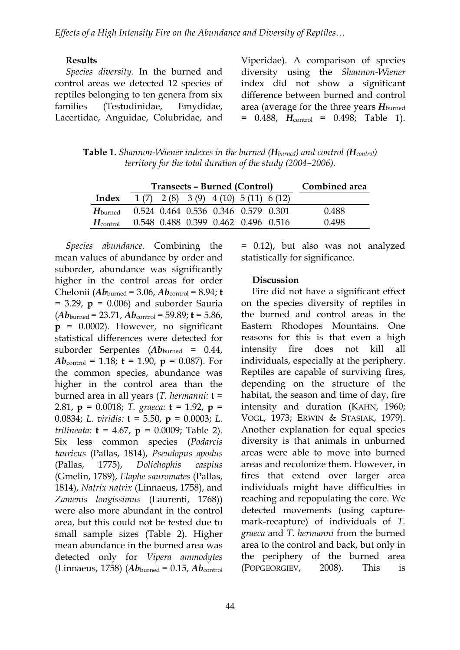#### Results

 Species diversity. In the burned and control areas we detected 12 species of reptiles belonging to ten genera from six families (Testudinidae, Emydidae, Lacertidae, Anguidae, Colubridae, and Viperidae). A comparison of species diversity using the Shannon-Wiener index did not show a significant difference between burned and control area (average for the three years  $H_{\text{burned}}$  $= 0.488$ ,  $H_{control} = 0.498$ ; Table 1).

**Table 1.** Shannon-Wiener indexes in the burned ( $H_{burned}$ ) and control ( $H_{control}$ ) territory for the total duration of the study (2004–2006).

|                      | Transects – Burned (Control) | Combined area                                |  |       |
|----------------------|------------------------------|----------------------------------------------|--|-------|
| Index                |                              | $1(7)$ $2(8)$ $3(9)$ $4(10)$ $5(11)$ $6(12)$ |  |       |
| $H_{\text{burned}}$  |                              | 0.524 0.464 0.536 0.346 0.579 0.301          |  | 0.488 |
| $H_{\text{control}}$ |                              | 0.548 0.488 0.399 0.462 0.496 0.516          |  | 0.498 |

 Species abundance. Combining the mean values of abundance by order and suborder, abundance was significantly higher in the control areas for order Chelonii ( $Ab<sub>burned</sub> = 3.06$ ,  $Ab<sub>control</sub> = 8.94$ ; t  $= 3.29$ ,  $p = 0.006$ ) and suborder Sauria  $(Ab_{\text{burned}} = 23.71, Ab_{\text{control}} = 59.89; t = 5.86,$  $p = 0.0002$ ). However, no significant statistical differences were detected for suborder Serpentes  $(Ab_{\text{burned}} = 0.44)$  $Ab_{\text{control}} = 1.18$ ; **t** = 1.90, **p** = 0.087). For the common species, abundance was higher in the control area than the burned area in all years (T. hermanni:  $t =$ 2.81,  $p = 0.0018$ ; T. graeca:  $t = 1.92$ ,  $p =$ 0.0834; L. viridis:  $t = 5.50$ ,  $p = 0.0003$ ; L. trilineata:  $t = 4.67$ ,  $p = 0.0009$ ; Table 2). Six less common species (Podarcis tauricus (Pallas, 1814), Pseudopus apodus (Pallas, 1775), Dolichophis caspius (Gmelin, 1789), Elaphe sauromates (Pallas, 1814), Natrix natrix (Linnaeus, 1758), and Zamenis longissimus (Laurenti, 1768)) were also more abundant in the control area, but this could not be tested due to small sample sizes (Table 2). Higher mean abundance in the burned area was detected only for Vipera ammodytes (Linnaeus, 1758) ( $Ab<sub>burned</sub> = 0.15$ ,  $Ab<sub>control</sub>$ 

= 0.12), but also was not analyzed statistically for significance.

#### **Discussion**

 Fire did not have a significant effect on the species diversity of reptiles in the burned and control areas in the Eastern Rhodopes Mountains. One reasons for this is that even a high intensity fire does not kill all individuals, especially at the periphery. Reptiles are capable of surviving fires, depending on the structure of the habitat, the season and time of day, fire intensity and duration (KAHN, 1960; VOGL, 1973; ERWIN & STASIAK, 1979). Another explanation for equal species diversity is that animals in unburned areas were able to move into burned areas and recolonize them. However, in fires that extend over larger area individuals might have difficulties in reaching and repopulating the core. We detected movements (using capturemark-recapture) of individuals of T. graeca and T. hermanni from the burned area to the control and back, but only in the periphery of the burned area (POPGEORGIEV, 2008). This is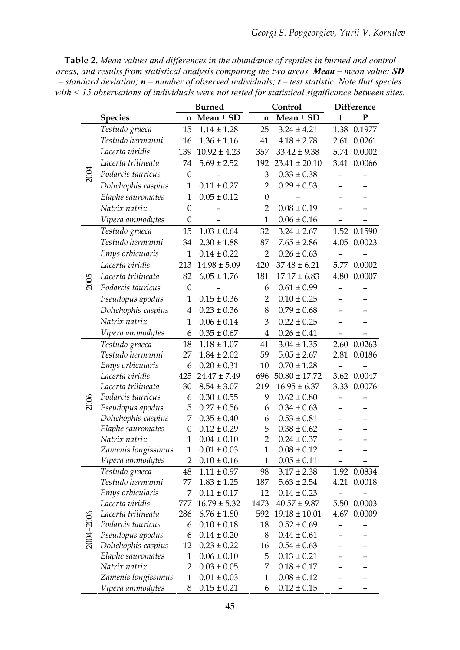Table 2. Mean values and differences in the abundance of reptiles in burned and control areas, and results from statistical analysis comparing the two areas. Mean – mean value; SD – standard deviation;  $\mathbf{n}$  – number of observed individuals;  $\mathbf{t}$  – test statistic. Note that species with < 15 observations of individuals were not tested for statistical significance between sites.

|             |                                         | <b>Burned</b>    |                                    |                  | Control                            | <b>Difference</b> |             |
|-------------|-----------------------------------------|------------------|------------------------------------|------------------|------------------------------------|-------------------|-------------|
|             | <b>Species</b>                          |                  | $n$ Mean $\pm$ SD                  | $\mathbf n$      | Mean ± SD                          | $\mathbf t$       | ${\bf P}$   |
| <b>2004</b> | Testudo graeca                          | 15               | $1.14 \pm 1.28$                    | 25               | $3.24 \pm 4.21$                    |                   | 1.38 0.1977 |
|             | Testudo hermanni                        | 16               | $1.36 \pm 1.16$                    | 41               | $4.18 \pm 2.78$                    | 2.61              | 0.0261      |
|             | Lacerta viridis                         | 139              | $10.92 \pm 4.23$                   | 357              | $33.42 \pm 9.38$                   |                   | 5.74 0.0002 |
|             | Lacerta trilineata                      | 74               | $5.69 \pm 2.52$                    | 192              | $23.41 \pm 20.10$                  |                   | 3.41 0.0066 |
|             | Podarcis tauricus                       | $\boldsymbol{0}$ |                                    | 3                | $0.33 \pm 0.38$                    |                   |             |
|             | Dolichophis caspius                     | $\mathbf{1}$     | $0.11 \pm 0.27$                    | $\overline{2}$   | $0.29 \pm 0.53$                    |                   |             |
|             | Elaphe sauromates                       | $\mathbf{1}$     | $0.05 \pm 0.12$                    | $\boldsymbol{0}$ |                                    |                   |             |
|             | Natrix natrix                           | $\mathbf{0}$     |                                    | $\overline{2}$   | $0.08 \pm 0.19$                    |                   |             |
|             | Vipera ammodytes                        | $\boldsymbol{0}$ |                                    | $\mathbf{1}$     | $0.06 \pm 0.16$                    |                   |             |
|             | Testudo graeca                          | 15               | $1.03 \pm 0.64$                    | 32               | $3.24 \pm 2.67$                    |                   | 1.52 0.1590 |
|             | Testudo hermanni                        | 34               | $2.30 \pm 1.88$                    | 87               | $7.65 \pm 2.86$                    | 4.05              | 0.0023      |
|             | Emys orbicularis                        | $\mathbf{1}$     | $0.14 \pm 0.22$                    | $\overline{2}$   | $0.26 \pm 0.63$                    |                   |             |
|             | Lacerta viridis                         | 213              | $14.98 \pm 5.09$                   | 420              | $37.48 \pm 6.21$                   | 5.77              | 0.0002      |
|             | Lacerta trilineata                      | 82               | $6.05 \pm 1.76$                    | 181              | $17.17 \pm 6.83$                   | 4.80              | 0.0007      |
| 2005        | Podarcis tauricus                       | $\boldsymbol{0}$ |                                    | 6                | $0.61 \pm 0.99$                    |                   |             |
|             | Pseudopus apodus                        | $\mathbf{1}$     | $0.15 \pm 0.36$                    | $\overline{2}$   | $0.10 \pm 0.25$                    |                   |             |
|             | Dolichophis caspius                     | 4                | $0.23 \pm 0.36$                    | 8                | $0.79 \pm 0.68$                    |                   |             |
|             | Natrix natrix                           | $\mathbf{1}$     | $0.06 \pm 0.14$                    | 3                | $0.22 \pm 0.25$                    |                   |             |
|             | Vipera ammodytes                        | 6                | $0.35\pm0.67$                      | $\overline{4}$   | $0.26 \pm 0.41$                    |                   |             |
|             | Testudo graeca                          | 18               | $1.18 \pm 1.07$                    | 41               | $3.04 \pm 1.35$                    | 2.60              | 0.0263      |
|             | Testudo hermanni                        | 27               | $1.84 \pm 2.02$                    | 59               | $5.05 \pm 2.67$                    | 2.81              | 0.0186      |
|             | Emys orbicularis                        | 6                | $0.20 \pm 0.31$                    | 10               | $0.70 \pm 1.28$                    |                   |             |
|             | Lacerta viridis                         | 425              | $24.47 \pm 7.49$                   | 696              | $50.80 \pm 17.72$                  | 3.62              | 0.0047      |
|             | Lacerta trilineata                      | 130              | $8.54 \pm 3.07$                    | 219              | $16.95 \pm 6.37$                   |                   | 3.33 0.0076 |
| 2006        | Podarcis tauricus                       | 6                | $0.30 \pm 0.55$                    | 9                | $0.62 \pm 0.80$                    | -                 |             |
|             | Pseudopus apodus                        | 5                | $0.27 \pm 0.56$                    | 6                | $0.34 \pm 0.63$                    |                   |             |
|             | Dolichophis caspius                     | $\overline{7}$   | $0.35 \pm 0.40$                    | 6                | $0.53 \pm 0.81$                    |                   |             |
|             | Elaphe sauromates                       | $\boldsymbol{0}$ | $0.12 \pm 0.29$                    | 5                | $0.38 \pm 0.62$                    |                   |             |
|             | Natrix natrix                           | $\mathbf{1}$     | $0.04 \pm 0.10$                    | $\overline{2}$   | $0.24 \pm 0.37$                    |                   |             |
|             | Zamenis longissimus                     | 1                | $0.01 \pm 0.03$                    | 1                | $0.08 \pm 0.12$                    |                   |             |
|             | Vipera ammodytes                        | 2                | $0.10 \pm 0.16$                    | $\mathbf{1}$     | $0.05 \pm 0.11$                    |                   |             |
| 2004-2006   | Testudo graeca                          | 48               | $1.11 \pm 0.97$                    | 98               | $3.17 \pm 2.38$                    |                   | 1.92 0.0834 |
|             | Testudo hermanni                        | 77               | $1.83 \pm 1.25$                    | 187              | $5.63 \pm 2.54$                    |                   | 4.21 0.0018 |
|             | Emys orbicularis                        | 7                | $0.11 \pm 0.17$                    | 12               | $0.14 \pm 0.23$                    |                   |             |
|             | Lacerta viridis                         | 777              | $16.79 \pm 5.32$                   | 1473             | $40.57 \pm 9.87$                   |                   | 5.50 0.0003 |
|             | Lacerta trilineata                      | 286              | $6.76 \pm 1.80$                    | 592              | $19.18 \pm 10.01$                  | 4.67              | 0.0009      |
|             | Podarcis tauricus                       | 6<br>6           | $0.10 \pm 0.18$<br>$0.14 \pm 0.20$ | 18<br>8          | $0.52 \pm 0.69$<br>$0.44 \pm 0.61$ |                   |             |
|             | Pseudopus apodus<br>Dolichophis caspius | 12               | $0.23 \pm 0.22$                    | 16               | $0.54 \pm 0.63$                    |                   |             |
|             | Elaphe sauromates                       | $\mathbf{1}$     | $0.06 \pm 0.10$                    | 5                | $0.13 \pm 0.21$                    |                   |             |
|             | Natrix natrix                           | 2                | $0.03 \pm 0.05$                    | 7                | $0.18 \pm 0.17$                    |                   |             |
|             | Zamenis longissimus                     | $\mathbf{1}$     | $0.01 \pm 0.03$                    | $\mathbf{1}$     | $0.08 \pm 0.12$                    |                   |             |
|             | Vipera ammodytes                        | 8                | $0.15 \pm 0.21$                    | 6                | $0.12 \pm 0.15$                    |                   |             |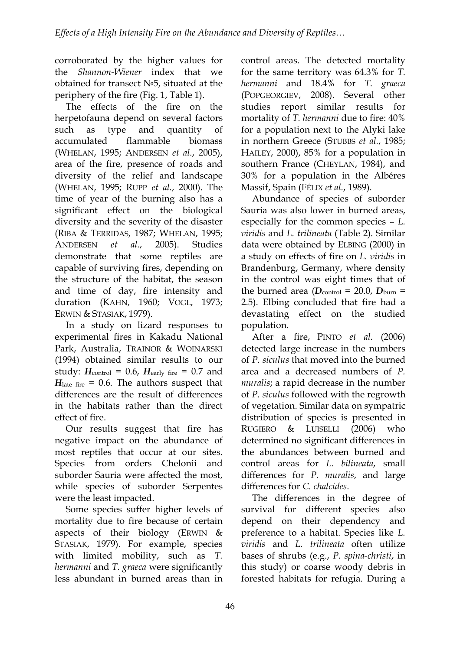corroborated by the higher values for the Shannon-Wiener index that we obtained for transect №5, situated at the periphery of the fire (Fig. 1, Table 1).

 The effects of the fire on the herpetofauna depend on several factors such as type and quantity of accumulated flammable biomass (WHELAN, 1995; ANDERSEN et al., 2005), area of the fire, presence of roads and diversity of the relief and landscape (WHELAN, 1995; RUPP et al., 2000). The time of year of the burning also has a significant effect on the biological diversity and the severity of the disaster (RIBA & TERRIDAS, 1987; WHELAN, 1995; ANDERSEN et al., 2005). Studies demonstrate that some reptiles are capable of surviving fires, depending on the structure of the habitat, the season and time of day, fire intensity and duration (KAHN, 1960; VOGL, 1973; ERWIN & STASIAK, 1979).

 In a study on lizard responses to experimental fires in Kakadu National Park, Australia, TRAINOR & WOINARSKI (1994) obtained similar results to our study:  $H_{\text{control}} = 0.6$ ,  $H_{\text{early fire}} = 0.7$  and  $H<sub>late fire</sub> = 0.6$ . The authors suspect that differences are the result of differences in the habitats rather than the direct effect of fire.

 Our results suggest that fire has negative impact on the abundance of most reptiles that occur at our sites. Species from orders Chelonii and suborder Sauria were affected the most, while species of suborder Serpentes were the least impacted.

 Some species suffer higher levels of mortality due to fire because of certain aspects of their biology (ERWIN  $&$ STASIAK, 1979). For example, species with limited mobility, such as T. hermanni and T. graeca were significantly less abundant in burned areas than in

control areas. The detected mortality for the same territory was 64.3% for T. hermanni and 18.4% for T. graeca (POPGEORGIEV, 2008). Several other studies report similar results for mortality of T. hermanni due to fire: 40% for a population next to the Alyki lake in northern Greece (STUBBS et al., 1985; HAILEY, 2000), 85% for a population in southern France (CHEYLAN, 1984), and 30% for a population in the Albéres Massif, Spain (FÉLIX et al., 1989).

 Abundance of species of suborder Sauria was also lower in burned areas, especially for the common species – L. viridis and L. trilineata (Table 2). Similar data were obtained by ELBING (2000) in a study on effects of fire on L. viridis in Brandenburg, Germany, where density in the control was eight times that of the burned area  $(D_{\text{control}} = 20.0, D_{\text{burn}} =$ 2.5). Elbing concluded that fire had a devastating effect on the studied population.

 After a fire, PINTO et al. (2006) detected large increase in the numbers of P. siculus that moved into the burned area and a decreased numbers of P. muralis; a rapid decrease in the number of P. siculus followed with the regrowth of vegetation. Similar data on sympatric distribution of species is presented in RUGIERO & LUISELLI (2006) who determined no significant differences in the abundances between burned and control areas for L. bilineata, small differences for P. muralis, and large differences for C. chalcides.

 The differences in the degree of survival for different species also depend on their dependency and preference to a habitat. Species like L. viridis and L. trilineata often utilize bases of shrubs (e.g., P. spina-christi, in this study) or coarse woody debris in forested habitats for refugia. During a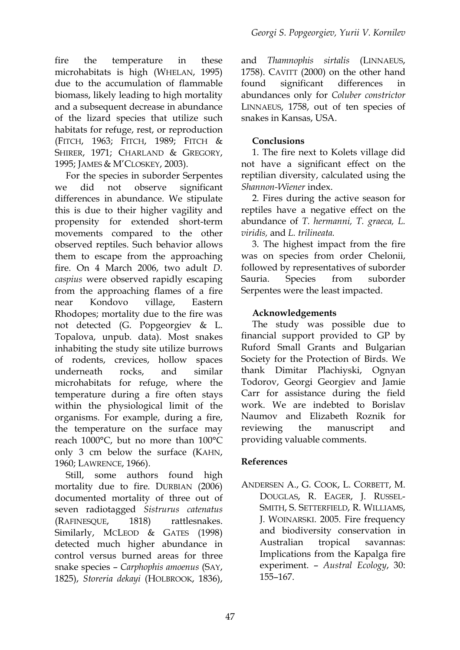fire the temperature in these microhabitats is high (WHELAN, 1995) due to the accumulation of flammable biomass, likely leading to high mortality and a subsequent decrease in abundance of the lizard species that utilize such habitats for refuge, rest, or reproduction (FITCH, 1963; FITCH, 1989; FITCH & SHIRER, 1971; CHARLAND & GREGORY, 1995; JAMES & M'CLOSKEY, 2003).

 For the species in suborder Serpentes we did not observe significant differences in abundance. We stipulate this is due to their higher vagility and propensity for extended short-term movements compared to the other observed reptiles. Such behavior allows them to escape from the approaching fire. On 4 March 2006, two adult D. caspius were observed rapidly escaping from the approaching flames of a fire near Kondovo village, Eastern Rhodopes; mortality due to the fire was not detected (G. Popgeorgiev & L. Topalova, unpub. data). Most snakes inhabiting the study site utilize burrows of rodents, crevices, hollow spaces underneath rocks, and similar microhabitats for refuge, where the temperature during a fire often stays within the physiological limit of the organisms. For example, during a fire, the temperature on the surface may reach 1000°С, but no more than 100°С only 3 cm below the surface (KAHN, 1960; LAWRENCE, 1966).

 Still, some authors found high mortality due to fire. DURBIAN (2006) documented mortality of three out of seven radiotagged Sistrurus catenatus (RAFINESQUE, 1818) rattlesnakes. Similarly, MCLEOD & GATES (1998) detected much higher abundance in control versus burned areas for three snake species – Carphophis amoenus (SAY, 1825), Storeria dekayi (HOLBROOK, 1836),

and Thamnophis sirtalis (LINNAEUS, 1758). CAVITT (2000) on the other hand found significant differences in abundances only for Coluber constrictor LINNAEUS, 1758, out of ten species of snakes in Kansas, USA.

# Conclusions

 1. The fire next to Kolets village did not have a significant effect on the reptilian diversity, calculated using the Shannon-Wiener index.

 2. Fires during the active season for reptiles have a negative effect on the abundance of T. hermanni, T. graeca, L. viridis, and L. trilineata.

 3. The highest impact from the fire was on species from order Chelonii, followed by representatives of suborder Sauria. Species from suborder Serpentes were the least impacted.

# Acknowledgements

 The study was possible due to financial support provided to GP by Ruford Small Grants and Bulgarian Society for the Protection of Birds. We thank Dimitar Plachiyski, Ognyan Todorov, Georgi Georgiev and Jamie Carr for assistance during the field work. We are indebted to Borislav Naumov and Elizabeth Roznik for reviewing the manuscript and providing valuable comments.

### References

ANDERSEN A., G. COOK, L. CORBETT, M. DOUGLAS, R. EAGER, J. RUSSEL-SMITH, S. SETTERFIELD, R. WILLIAMS, J. WOINARSKI. 2005. Fire frequency and biodiversity conservation in Australian tropical savannas: Implications from the Kapalga fire experiment. – Austral Ecology, 30: 155–167.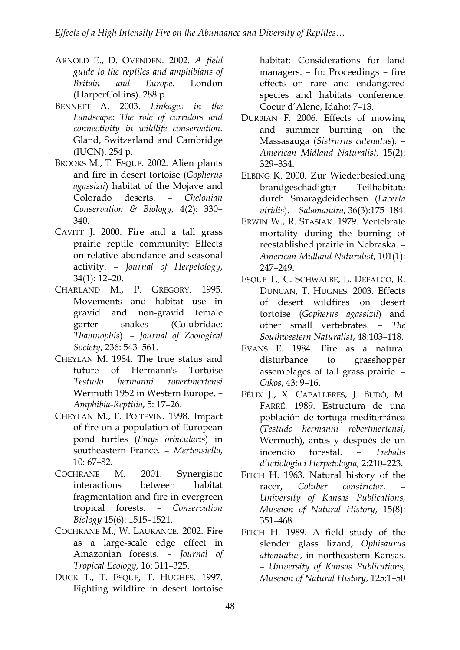- ARNOLD E., D. OVENDEN. 2002. A field guide to the reptiles and amphibians of Britain and Europe. London (HarperCollins). 288 p.
- BENNETT A. 2003. Linkages in the Landscape: The role of corridors and connectivity in wildlife conservation. Gland, Switzerland and Cambridge (IUCN). 254 p.
- BROOKS M., T. ESQUE. 2002. Alien plants and fire in desert tortoise (Gopherus agassizii) habitat of the Mojave and Colorado deserts. – Chelonian Conservation & Biology, 4(2): 330– 340.
- CAVITT J. 2000. Fire and a tall grass prairie reptile community: Effects on relative abundance and seasonal activity. – Journal of Herpetology, 34(1): 12–20.
- CHARLAND M., P. GREGORY. 1995. Movements and habitat use in gravid and non-gravid female garter snakes (Colubridae: Thamnophis). – Journal of Zoological Society, 236: 543–561.
- CHEYLAN M. 1984. The true status and future of Hermann's Tortoise Testudo hermanni robertmertensi Wermuth 1952 in Western Europe. – Amphibia-Reptilia, 5: 17–26.
- CHEYLAN M., F. POITEVIN. 1998. Impact of fire on a population of European pond turtles (Emys orbicularis) in southeastern France. – Mertensiella, 10: 67–82.
- COCHRANE M. 2001. Synergistic interactions between habitat fragmentation and fire in evergreen tropical forests. – Conservation Biology 15(6): 1515–1521.
- COCHRANE M., W. LAURANCE. 2002. Fire as a large-scale edge effect in Amazonian forests. – Journal of Tropical Ecology, 16: 311–325.
- DUCK T., T. ESQUE, T. HUGHES. 1997. Fighting wildfire in desert tortoise

habitat: Considerations for land managers. – In: Proceedings – fire effects on rare and endangered species and habitats conference. Coeur d'Alene, Idaho: 7–13.

- DURBIAN F. 2006. Effects of mowing and summer burning on the Massasauga (Sistrurus catenatus). – American Midland Naturalist, 15(2): 329–334.
- ELBING K. 2000. Zur Wiederbesiedlung brandgeschädigter Teilhabitate durch Smaragdeidechsen (Lacerta viridis). – Salamandra, 36(3):175–184.
- ERWIN W., R. STASIAK. 1979. Vertebrate mortality during the burning of reestablished prairie in Nebraska. – American Midland Naturalist, 101(1): 247–249.
- ESQUE T., C. SCHWALBE, L. DEFALCO, R. DUNCAN, T. HUGNES. 2003. Effects of desert wildfires on desert tortoise (Gopherus agassizii) and other small vertebrates. – The Southwestern Naturalist, 48:103–118.
- EVANS E. 1984. Fire as a natural disturbance to grasshopper assemblages of tall grass prairie. – Oikos, 43: 9–16.
- FÉLIX J., X. CAPALLERES, J. BUDÓ, M. FARRÉ. 1989. Estructura de una población de tortuga mediterránea (Testudo hermanni robertmertensi, Wermuth), antes y después de un incendio forestal. – Treballs d'Ictiologia i Herpetologia, 2:210–223.
- FITCH H. 1963. Natural history of the racer. Coluber constrictor. University of Kansas Publications, Museum of Natural History, 15(8): 351–468.
- FITCH H. 1989. A field study of the slender glass lizard, Ophisaurus attenuatus, in northeastern Kansas. – University of Kansas Publications, Museum of Natural History, 125:1–50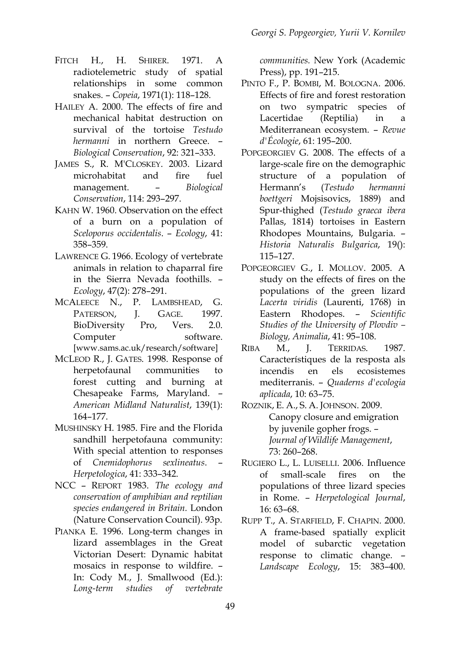- FITCH H., H. SHIRER. 1971. A radiotelemetric study of spatial relationships in some common snakes. – Copeia, 1971(1): 118–128.
- HAILEY A. 2000. The effects of fire and mechanical habitat destruction on survival of the tortoise Testudo hermanni in northern Greece. -Biological Conservation, 92: 321–333.
- JAMES S., R. M'CLOSKEY. 2003. Lizard microhabitat and fire fuel management. – Biological Conservation, 114: 293–297.
- KAHN W. 1960. Observation on the effect of a burn on a population of Sceloporus occidentalis. – Ecology, 41: 358–359.
- LAWRENCE G. 1966. Ecology of vertebrate animals in relation to chaparral fire in the Sierra Nevada foothills. – Ecology, 47(2): 278–291.
- MCALEECE N., P. LAMBSHEAD, G. PATERSON, J. GAGE. 1997. BioDiversity Pro, Vers. 2.0. Computer software. [www.sams.ac.uk/research/software]
- MCLEOD R., J. GATES. 1998. Response of herpetofaunal communities to forest cutting and burning at Chesapeake Farms, Maryland. – American Midland Naturalist, 139(1): 164–177.
- MUSHINSKY H. 1985. Fire and the Florida sandhill herpetofauna community: With special attention to responses of Cnemidophorus sexlineatus. – Herpetologica, 41: 333–342.
- NCC REPORT 1983. The ecology and conservation of amphibian and reptilian species endangered in Britain. London (Nature Conservation Council). 93p.
- PIANKA E. 1996. Long-term changes in lizard assemblages in the Great Victorian Desert: Dynamic habitat mosaics in response to wildfire. – In: Cody M., J. Smallwood (Ed.): Long-term studies of vertebrate

communities. New York (Academic Press), pp. 191–215.

- PINTO F., P. BOMBI, M. BOLOGNA. 2006. Effects of fire and forest restoration on two sympatric species of Lacertidae (Reptilia) in a Mediterranean ecosystem. – Revue d'Écologie, 61: 195–200.
- POPGEORGIEV G. 2008. The effects of a large-scale fire on the demographic structure of a population of Hermann's (Testudo hermanni boettgeri Mojsisovics, 1889) and Spur-thighed (Testudo graeca ibera Pallas, 1814) tortoises in Eastern Rhodopes Mountains, Bulgaria. – Historia Naturalis Bulgarica, 19(): 115–127.
- POPGEORGIEV G., I. MOLLOV. 2005. A study on the effects of fires on the populations of the green lizard Lacerta viridis (Laurenti, 1768) in Eastern Rhodopes. – Scientific Studies of the University of Plovdiv – Biology, Animalia, 41: 95–108.
- RIBA M., J. TERRIDAS. 1987. Característiques de la resposta als incendis en els ecosistemes mediterranis. – Quaderns d'ecologia aplicada, 10: 63–75.
- ROZNIK, E. A., S. A. JOHNSON. 2009. Canopy closure and emigration by juvenile gopher frogs. – Journal of Wildlife Management, 73: 260–268.
- RUGIERO L., L. LUISELLI. 2006. Influence of small-scale fires on the populations of three lizard species in Rome. – Herpetological Journal, 16: 63–68.
- RUPP T., A. STARFIELD, F. CHAPIN. 2000. A frame-based spatially explicit model of subarctic vegetation response to climatic change. – Landscape Ecology, 15: 383–400.